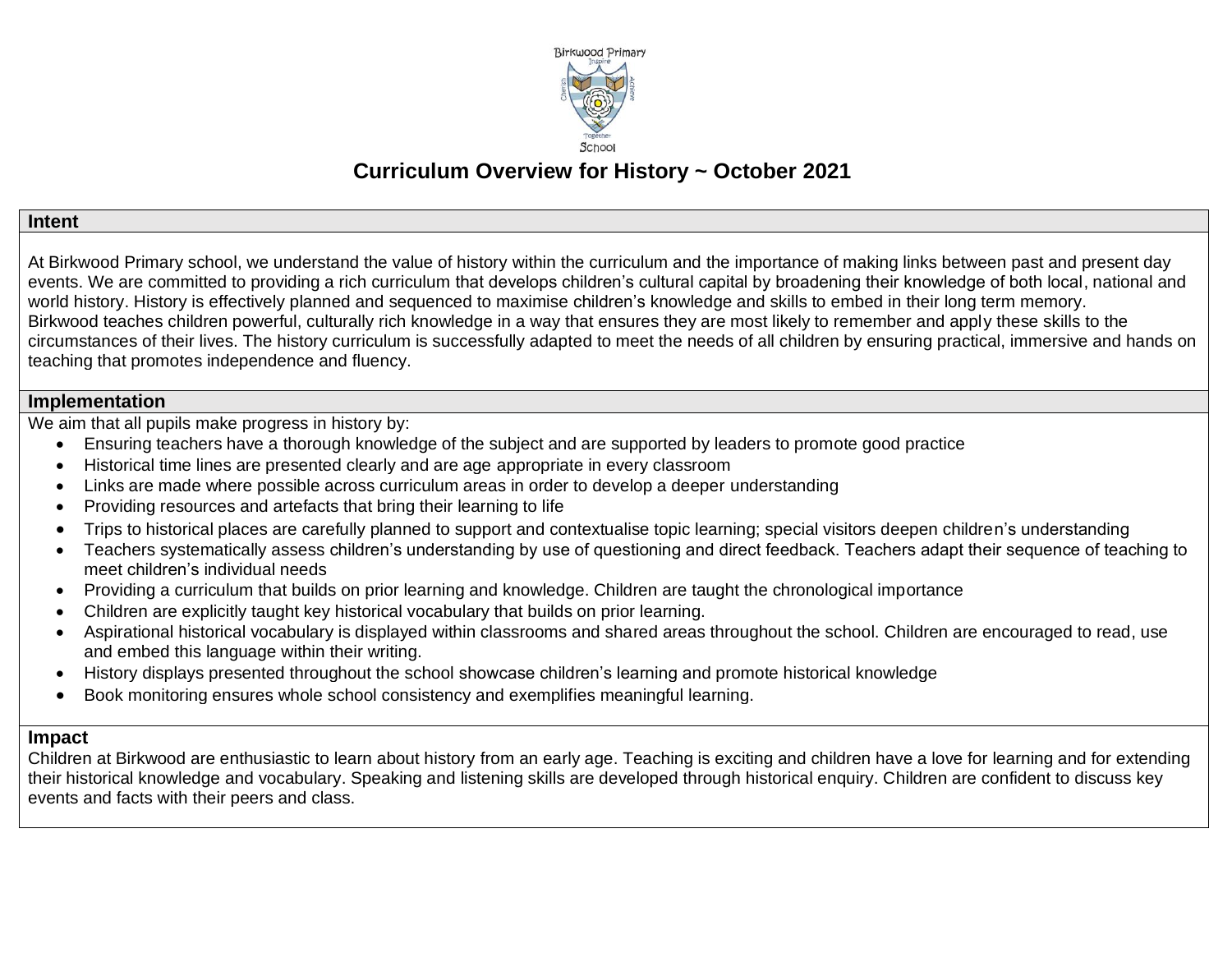

# **Curriculum Overview for History ~ October 2021**

#### **Intent**

At Birkwood Primary school, we understand the value of history within the curriculum and the importance of making links between past and present day events. We are committed to providing a rich curriculum that develops children's cultural capital by broadening their knowledge of both local, national and world history. History is effectively planned and sequenced to maximise children's knowledge and skills to embed in their long term memory. Birkwood teaches children powerful, culturally rich knowledge in a way that ensures they are most likely to remember and apply these skills to the circumstances of their lives. The history curriculum is successfully adapted to meet the needs of all children by ensuring practical, immersive and hands on teaching that promotes independence and fluency.

### **Implementation**

We aim that all pupils make progress in history by:

- Ensuring teachers have a thorough knowledge of the subject and are supported by leaders to promote good practice
- Historical time lines are presented clearly and are age appropriate in every classroom
- Links are made where possible across curriculum areas in order to develop a deeper understanding
- Providing resources and artefacts that bring their learning to life
- Trips to historical places are carefully planned to support and contextualise topic learning; special visitors deepen children's understanding
- Teachers systematically assess children's understanding by use of questioning and direct feedback. Teachers adapt their sequence of teaching to meet children's individual needs
- Providing a curriculum that builds on prior learning and knowledge. Children are taught the chronological importance
- Children are explicitly taught key historical vocabulary that builds on prior learning.
- Aspirational historical vocabulary is displayed within classrooms and shared areas throughout the school. Children are encouraged to read, use and embed this language within their writing.
- History displays presented throughout the school showcase children's learning and promote historical knowledge
- Book monitoring ensures whole school consistency and exemplifies meaningful learning.

### **Impact**

Children at Birkwood are enthusiastic to learn about history from an early age. Teaching is exciting and children have a love for learning and for extending their historical knowledge and vocabulary. Speaking and listening skills are developed through historical enquiry. Children are confident to discuss key events and facts with their peers and class.